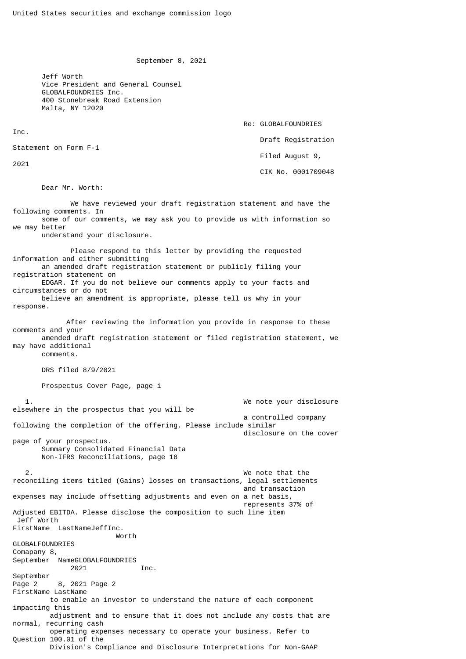September 8, 2021

 Jeff Worth Vice President and General Counsel GLOBALFOUNDRIES Inc. 400 Stonebreak Road Extension Malta, NY 12020

Re: GLOBALFOUNDRIES

```
 Draft Registration
```
Statement on Form F-1

2021

Inc.

Filed August 9,

CIK No. 0001709048

Dear Mr. Worth:

 We have reviewed your draft registration statement and have the following comments. In some of our comments, we may ask you to provide us with information so we may better understand your disclosure. Please respond to this letter by providing the requested information and either submitting an amended draft registration statement or publicly filing your registration statement on EDGAR. If you do not believe our comments apply to your facts and circumstances or do not believe an amendment is appropriate, please tell us why in your response. After reviewing the information you provide in response to these comments and your amended draft registration statement or filed registration statement, we may have additional comments. DRS filed 8/9/2021 Prospectus Cover Page, page i 1. We note your disclosure elsewhere in the prospectus that you will be a controlled company following the completion of the offering. Please include similar disclosure on the cover page of your prospectus. Summary Consolidated Financial Data Non-IFRS Reconciliations, page 18 2. We note that the reconciling items titled (Gains) losses on transactions, legal settlements and transaction expenses may include offsetting adjustments and even on a net basis, represents 37% of Adjusted EBITDA. Please disclose the composition to such line item Jeff Worth FirstName LastNameJeffInc. Worth GLOBALFOUNDRIES Comapany 8, September NameGLOBALFOUNDRIES 2021 Inc. September Page 2 8, 2021 Page 2 FirstName LastName to enable an investor to understand the nature of each component impacting this adjustment and to ensure that it does not include any costs that are normal, recurring cash operating expenses necessary to operate your business. Refer to Question 100.01 of the Division's Compliance and Disclosure Interpretations for Non-GAAP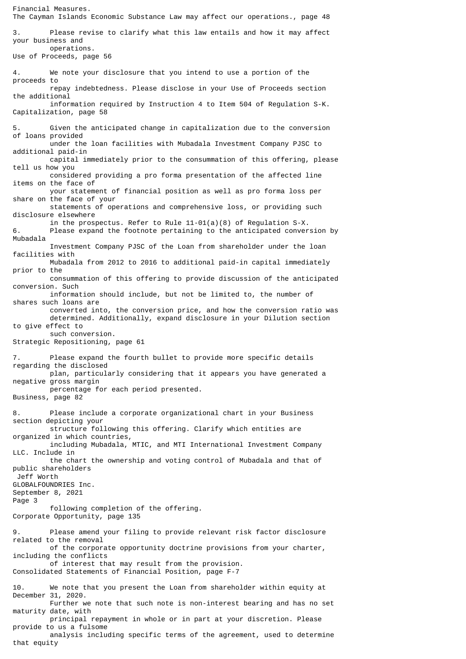Financial Measures. The Cayman Islands Economic Substance Law may affect our operations., page 48 3. Please revise to clarify what this law entails and how it may affect your business and operations. Use of Proceeds, page 56 4. We note your disclosure that you intend to use a portion of the proceeds to repay indebtedness. Please disclose in your Use of Proceeds section the additional information required by Instruction 4 to Item 504 of Regulation S-K. Capitalization, page 58 5. Given the anticipated change in capitalization due to the conversion of loans provided under the loan facilities with Mubadala Investment Company PJSC to additional paid-in capital immediately prior to the consummation of this offering, please tell us how you considered providing a pro forma presentation of the affected line items on the face of your statement of financial position as well as pro forma loss per share on the face of your statements of operations and comprehensive loss, or providing such disclosure elsewhere in the prospectus. Refer to Rule 11-01(a)(8) of Regulation S-X.<br>Please expand the footnote pertaining to the anticipated conver Please expand the footnote pertaining to the anticipated conversion by Mubadala Investment Company PJSC of the Loan from shareholder under the loan facilities with Mubadala from 2012 to 2016 to additional paid-in capital immediately prior to the consummation of this offering to provide discussion of the anticipated conversion. Such information should include, but not be limited to, the number of shares such loans are converted into, the conversion price, and how the conversion ratio was determined. Additionally, expand disclosure in your Dilution section to give effect to such conversion. Strategic Repositioning, page 61 7. Please expand the fourth bullet to provide more specific details regarding the disclosed plan, particularly considering that it appears you have generated a negative gross margin percentage for each period presented. Business, page 82 8. Please include a corporate organizational chart in your Business section depicting your structure following this offering. Clarify which entities are organized in which countries, including Mubadala, MTIC, and MTI International Investment Company LLC. Include in the chart the ownership and voting control of Mubadala and that of public shareholders Jeff Worth GLOBALFOUNDRIES Inc. September 8, 2021 Page 3 following completion of the offering. Corporate Opportunity, page 135 9. Please amend your filing to provide relevant risk factor disclosure related to the removal of the corporate opportunity doctrine provisions from your charter, including the conflicts of interest that may result from the provision. Consolidated Statements of Financial Position, page F-7 10. We note that you present the Loan from shareholder within equity at December 31, 2020. Further we note that such note is non-interest bearing and has no set maturity date, with principal repayment in whole or in part at your discretion. Please provide to us a fulsome analysis including specific terms of the agreement, used to determine

that equity